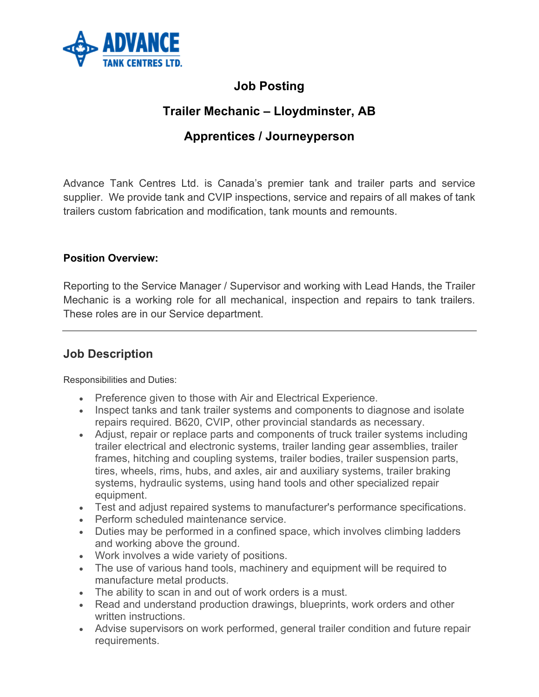

### **Job Posting**

# **Trailer Mechanic – Lloydminster, AB**

# **Apprentices / Journeyperson**

Advance Tank Centres Ltd. is Canada's premier tank and trailer parts and service supplier. We provide tank and CVIP inspections, service and repairs of all makes of tank trailers custom fabrication and modification, tank mounts and remounts.

#### **Position Overview:**

Reporting to the Service Manager / Supervisor and working with Lead Hands, the Trailer Mechanic is a working role for all mechanical, inspection and repairs to tank trailers. These roles are in our Service department.

#### **Job Description**

Responsibilities and Duties:

- Preference given to those with Air and Electrical Experience.
- Inspect tanks and tank trailer systems and components to diagnose and isolate repairs required. B620, CVIP, other provincial standards as necessary.
- Adjust, repair or replace parts and components of truck trailer systems including trailer electrical and electronic systems, trailer landing gear assemblies, trailer frames, hitching and coupling systems, trailer bodies, trailer suspension parts, tires, wheels, rims, hubs, and axles, air and auxiliary systems, trailer braking systems, hydraulic systems, using hand tools and other specialized repair equipment.
- Test and adjust repaired systems to manufacturer's performance specifications.
- Perform scheduled maintenance service.
- Duties may be performed in a confined space, which involves climbing ladders and working above the ground.
- Work involves a wide variety of positions.
- The use of various hand tools, machinery and equipment will be required to manufacture metal products.
- The ability to scan in and out of work orders is a must.
- Read and understand production drawings, blueprints, work orders and other written instructions.
- Advise supervisors on work performed, general trailer condition and future repair requirements.